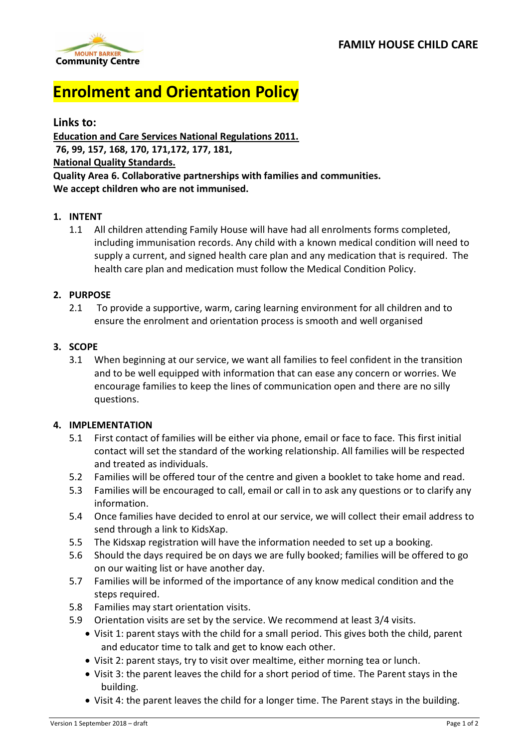

# **Enrolment and Orientation Policy**

**Links to: Education and Care Services National Regulations 2011. 76, 99, 157, 168, 170, 171,172, 177, 181, National Quality Standards. Quality Area 6. Collaborative partnerships with families and communities. We accept children who are not immunised.** 

### **1. INTENT**

1.1 All children attending Family House will have had all enrolments forms completed, including immunisation records. Any child with a known medical condition will need to supply a current, and signed health care plan and any medication that is required. The health care plan and medication must follow the Medical Condition Policy.

#### **2. PURPOSE**

2.1 To provide a supportive, warm, caring learning environment for all children and to ensure the enrolment and orientation process is smooth and well organised

### **3. SCOPE**

3.1 When beginning at our service, we want all families to feel confident in the transition and to be well equipped with information that can ease any concern or worries. We encourage families to keep the lines of communication open and there are no silly questions.

#### **4. IMPLEMENTATION**

- 5.1 First contact of families will be either via phone, email or face to face. This first initial contact will set the standard of the working relationship. All families will be respected and treated as individuals.
- 5.2 Families will be offered tour of the centre and given a booklet to take home and read.
- 5.3 Families will be encouraged to call, email or call in to ask any questions or to clarify any information.
- 5.4 Once families have decided to enrol at our service, we will collect their email address to send through a link to KidsXap.
- 5.5 The Kidsxap registration will have the information needed to set up a booking.
- 5.6 Should the days required be on days we are fully booked; families will be offered to go on our waiting list or have another day.
- 5.7 Families will be informed of the importance of any know medical condition and the steps required.
- 5.8 Families may start orientation visits.
- 5.9 Orientation visits are set by the service. We recommend at least 3/4 visits.
	- Visit 1: parent stays with the child for a small period. This gives both the child, parent and educator time to talk and get to know each other.
	- Visit 2: parent stays, try to visit over mealtime, either morning tea or lunch.
	- Visit 3: the parent leaves the child for a short period of time. The Parent stays in the building.
	- Visit 4: the parent leaves the child for a longer time. The Parent stays in the building.